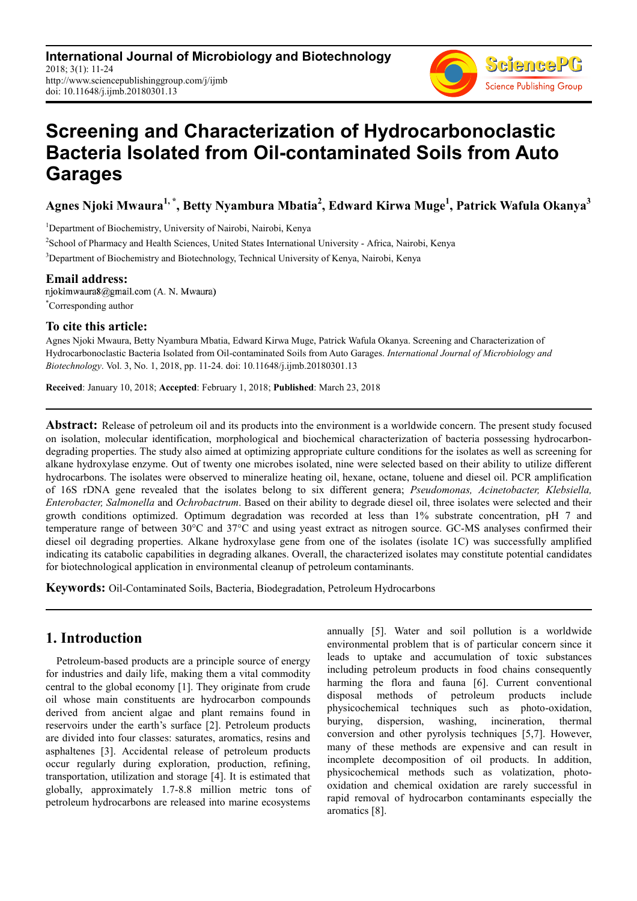

# **Screening and Characterization of Hydrocarbonoclastic Bacteria Isolated from Oil-contaminated Soils from Auto Garages**

**Agnes Njoki Mwaura1, \*, Betty Nyambura Mbatia<sup>2</sup> , Edward Kirwa Muge<sup>1</sup> , Patrick Wafula Okanya<sup>3</sup>**

<sup>1</sup>Department of Biochemistry, University of Nairobi, Nairobi, Kenya

<sup>2</sup>School of Pharmacy and Health Sciences, United States International University - Africa, Nairobi, Kenya

<sup>3</sup>Department of Biochemistry and Biotechnology, Technical University of Kenya, Nairobi, Kenya

**Email address:**<br>njokimwaura8@gmail.com (A. N. Mwaura) \*Corresponding author

### **To cite this article:**

Agnes Njoki Mwaura, Betty Nyambura Mbatia, Edward Kirwa Muge, Patrick Wafula Okanya. Screening and Characterization of Hydrocarbonoclastic Bacteria Isolated from Oil-contaminated Soils from Auto Garages. *International Journal of Microbiology and Biotechnology*. Vol. 3, No. 1, 2018, pp. 11-24. doi: 10.11648/j.ijmb.20180301.13

**Received**: January 10, 2018; **Accepted**: February 1, 2018; **Published**: March 23, 2018

**Abstract:** Release of petroleum oil and its products into the environment is a worldwide concern. The present study focused on isolation, molecular identification, morphological and biochemical characterization of bacteria possessing hydrocarbondegrading properties. The study also aimed at optimizing appropriate culture conditions for the isolates as well as screening for alkane hydroxylase enzyme. Out of twenty one microbes isolated, nine were selected based on their ability to utilize different hydrocarbons. The isolates were observed to mineralize heating oil, hexane, octane, toluene and diesel oil. PCR amplification of 16S rDNA gene revealed that the isolates belong to six different genera; *Pseudomonas, Acinetobacter, Klebsiella, Enterobacter, Salmonella* and *Ochrobactrum*. Based on their ability to degrade diesel oil, three isolates were selected and their growth conditions optimized. Optimum degradation was recorded at less than 1% substrate concentration, pH 7 and temperature range of between 30°C and 37°C and using yeast extract as nitrogen source. GC-MS analyses confirmed their diesel oil degrading properties. Alkane hydroxylase gene from one of the isolates (isolate 1C) was successfully amplified indicating its catabolic capabilities in degrading alkanes. Overall, the characterized isolates may constitute potential candidates for biotechnological application in environmental cleanup of petroleum contaminants.

**Keywords:** Oil-Contaminated Soils, Bacteria, Biodegradation, Petroleum Hydrocarbons

# **1. Introduction**

Petroleum-based products are a principle source of energy for industries and daily life, making them a vital commodity central to the global economy [1]. They originate from crude oil whose main constituents are hydrocarbon compounds derived from ancient algae and plant remains found in reservoirs under the earth's surface [2]. Petroleum products are divided into four classes: saturates, aromatics, resins and asphaltenes [3]. Accidental release of petroleum products occur regularly during exploration, production, refining, transportation, utilization and storage [4]. It is estimated that globally, approximately 1.7-8.8 million metric tons of petroleum hydrocarbons are released into marine ecosystems

annually [5]. Water and soil pollution is a worldwide environmental problem that is of particular concern since it leads to uptake and accumulation of toxic substances including petroleum products in food chains consequently harming the flora and fauna [6]. Current conventional disposal methods of petroleum products include physicochemical techniques such as photo-oxidation, burying, dispersion, washing, incineration, thermal conversion and other pyrolysis techniques [5,7]. However, many of these methods are expensive and can result in incomplete decomposition of oil products. In addition, physicochemical methods such as volatization, photooxidation and chemical oxidation are rarely successful in rapid removal of hydrocarbon contaminants especially the aromatics [8].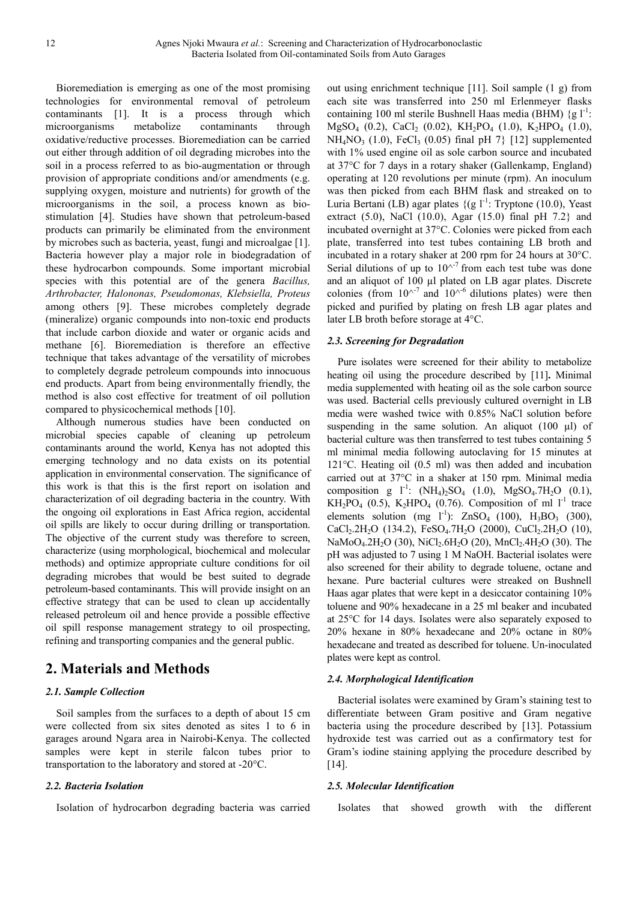Bioremediation is emerging as one of the most promising technologies for environmental removal of petroleum contaminants [1]. It is a process through which microorganisms metabolize contaminants through oxidative/reductive processes. Bioremediation can be carried out either through addition of oil degrading microbes into the soil in a process referred to as bio-augmentation or through provision of appropriate conditions and/or amendments (e.g. supplying oxygen, moisture and nutrients) for growth of the microorganisms in the soil, a process known as biostimulation [4]. Studies have shown that petroleum-based products can primarily be eliminated from the environment by microbes such as bacteria, yeast, fungi and microalgae [1]. Bacteria however play a major role in biodegradation of these hydrocarbon compounds. Some important microbial species with this potential are of the genera *Bacillus, Arthrobacter, Halononas, Pseudomonas, Klebsiella, Proteus*  among others [9]. These microbes completely degrade (mineralize) organic compounds into non-toxic end products that include carbon dioxide and water or organic acids and methane [6]. Bioremediation is therefore an effective technique that takes advantage of the versatility of microbes to completely degrade petroleum compounds into innocuous end products. Apart from being environmentally friendly, the method is also cost effective for treatment of oil pollution compared to physicochemical methods [10].

Although numerous studies have been conducted on microbial species capable of cleaning up petroleum contaminants around the world, Kenya has not adopted this emerging technology and no data exists on its potential application in environmental conservation. The significance of this work is that this is the first report on isolation and characterization of oil degrading bacteria in the country. With the ongoing oil explorations in East Africa region, accidental oil spills are likely to occur during drilling or transportation. The objective of the current study was therefore to screen, characterize (using morphological, biochemical and molecular methods) and optimize appropriate culture conditions for oil degrading microbes that would be best suited to degrade petroleum-based contaminants. This will provide insight on an effective strategy that can be used to clean up accidentally released petroleum oil and hence provide a possible effective oil spill response management strategy to oil prospecting, refining and transporting companies and the general public.

# **2. Materials and Methods**

#### *2.1. Sample Collection*

Soil samples from the surfaces to a depth of about 15 cm were collected from six sites denoted as sites 1 to 6 in garages around Ngara area in Nairobi-Kenya. The collected samples were kept in sterile falcon tubes prior to transportation to the laboratory and stored at -20°C.

#### *2.2. Bacteria Isolation*

Isolation of hydrocarbon degrading bacteria was carried

out using enrichment technique [11]. Soil sample (1 g) from each site was transferred into 250 ml Erlenmeyer flasks containing 100 ml sterile Bushnell Haas media (BHM)  $\{g\}$ <sup>-1</sup>: MgSO<sub>4</sub> (0.2), CaCl<sub>2</sub> (0.02), KH<sub>2</sub>PO<sub>4</sub> (1.0), K<sub>2</sub>HPO<sub>4</sub> (1.0),  $NH<sub>4</sub>NO<sub>3</sub>$  (1.0), FeCl<sub>3</sub> (0.05) final pH 7} [12] supplemented with 1% used engine oil as sole carbon source and incubated at 37°C for 7 days in a rotary shaker (Gallenkamp, England) operating at 120 revolutions per minute (rpm). An inoculum was then picked from each BHM flask and streaked on to Luria Bertani (LB) agar plates  $\{(\text{g }l^{-1})\}$ : Tryptone (10.0), Yeast extract  $(5.0)$ , NaCl  $(10.0)$ , Agar  $(15.0)$  final pH 7.2} and incubated overnight at 37°C. Colonies were picked from each plate, transferred into test tubes containing LB broth and incubated in a rotary shaker at 200 rpm for 24 hours at 30°C. Serial dilutions of up to  $10^{\lambda^{-7}}$  from each test tube was done and an aliquot of 100 µl plated on LB agar plates. Discrete colonies (from  $10^{\lambda^{-7}}$  and  $10^{\lambda^{-6}}$  dilutions plates) were then picked and purified by plating on fresh LB agar plates and later LB broth before storage at 4°C.

#### *2.3. Screening for Degradation*

Pure isolates were screened for their ability to metabolize heating oil using the procedure described by [11]**.** Minimal media supplemented with heating oil as the sole carbon source was used. Bacterial cells previously cultured overnight in LB media were washed twice with 0.85% NaCl solution before suspending in the same solution. An aliquot  $(100 \mu l)$  of bacterial culture was then transferred to test tubes containing 5 ml minimal media following autoclaving for 15 minutes at 121°C. Heating oil (0.5 ml) was then added and incubation carried out at 37°C in a shaker at 150 rpm. Minimal media composition g  $1^{-1}$ :  $(NH_4)_2SO_4$  (1.0), MgSO<sub>4</sub>.7H<sub>2</sub>O (0.1),  $KH_2PO_4$  (0.5),  $K_2HPO_4$  (0.76). Composition of ml 1<sup>-1</sup> trace elements solution (mg  $1^{-1}$ ): ZnSO<sub>4</sub> (100), H<sub>3</sub>BO<sub>3</sub> (300), CaCl<sub>2</sub>.2H<sub>2</sub>O (134.2), FeSO<sub>4</sub>.7H<sub>2</sub>O (2000), CuCl<sub>2</sub>.2H<sub>2</sub>O (10), NaMoO<sub>4</sub>.2H<sub>2</sub>O (30), NiCl<sub>2</sub>.6H<sub>2</sub>O (20), MnCl<sub>2</sub>.4H<sub>2</sub>O (30). The pH was adjusted to 7 using 1 M NaOH. Bacterial isolates were also screened for their ability to degrade toluene, octane and hexane. Pure bacterial cultures were streaked on Bushnell Haas agar plates that were kept in a desiccator containing 10% toluene and 90% hexadecane in a 25 ml beaker and incubated at 25°C for 14 days. Isolates were also separately exposed to 20% hexane in 80% hexadecane and 20% octane in 80% hexadecane and treated as described for toluene. Un-inoculated plates were kept as control.

#### *2.4. Morphological Identification*

Bacterial isolates were examined by Gram's staining test to differentiate between Gram positive and Gram negative bacteria using the procedure described by [13]. Potassium hydroxide test was carried out as a confirmatory test for Gram's iodine staining applying the procedure described by [14].

#### *2.5. Molecular Identification*

Isolates that showed growth with the different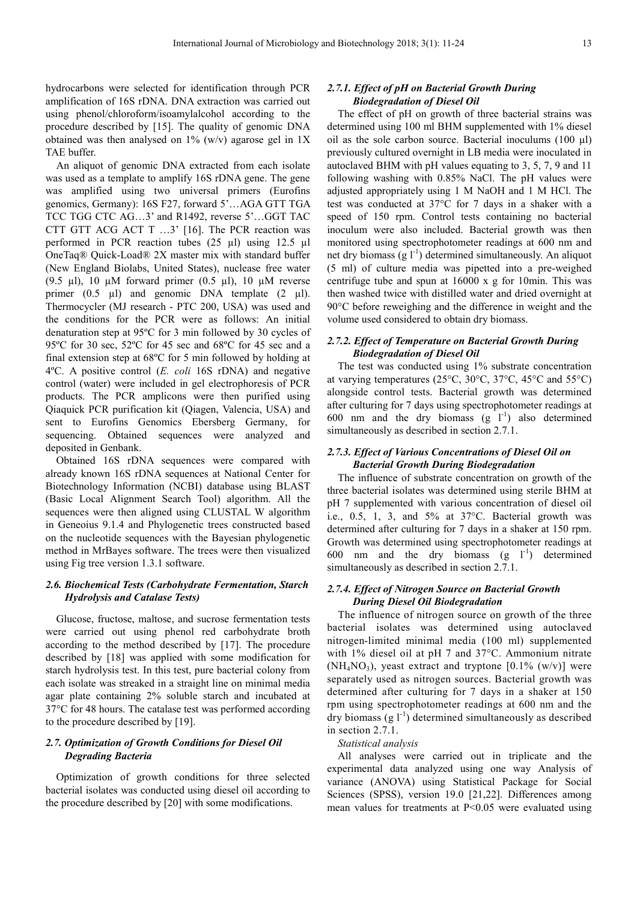hydrocarbons were selected for identification through PCR amplification of 16S rDNA. DNA extraction was carried out using phenol/chloroform/isoamylalcohol according to the procedure described by [15]. The quality of genomic DNA obtained was then analysed on  $1\%$  (w/v) agarose gel in  $1X$ TAE buffer.

An aliquot of genomic DNA extracted from each isolate was used as a template to amplify 16S rDNA gene. The gene was amplified using two universal primers (Eurofins genomics, Germany): 16S F27, forward 5'…AGA GTT TGA TCC TGG CTC AG…3' and R1492, reverse 5'…GGT TAC CTT GTT ACG ACT T …3' [16]. The PCR reaction was performed in PCR reaction tubes (25 µl) using 12.5 µl OneTaq® Quick-Load® 2X master mix with standard buffer (New England Biolabs, United States), nuclease free water (9.5  $\mu$ l), 10  $\mu$ M forward primer (0.5  $\mu$ l), 10  $\mu$ M reverse primer  $(0.5 \text{ µl})$  and genomic DNA template  $(2 \text{ µl})$ . Thermocycler (MJ research - PTC 200, USA) was used and the conditions for the PCR were as follows: An initial denaturation step at 95ºC for 3 min followed by 30 cycles of 95ºC for 30 sec, 52ºC for 45 sec and 68ºC for 45 sec and a final extension step at 68ºC for 5 min followed by holding at 4ºC. A positive control (*E. coli* 16S rDNA) and negative control (water) were included in gel electrophoresis of PCR products. The PCR amplicons were then purified using Qiaquick PCR purification kit (Qiagen, Valencia, USA) and sent to Eurofins Genomics Ebersberg Germany, for sequencing. Obtained sequences were analyzed and deposited in Genbank.

Obtained 16S rDNA sequences were compared with already known 16S rDNA sequences at National Center for Biotechnology Information (NCBI) database using BLAST (Basic Local Alignment Search Tool) algorithm. All the sequences were then aligned using CLUSTAL W algorithm in Geneoius 9.1.4 and Phylogenetic trees constructed based on the nucleotide sequences with the Bayesian phylogenetic method in MrBayes software. The trees were then visualized using Fig tree version 1.3.1 software.

#### *2.6. Biochemical Tests (Carbohydrate Fermentation, Starch Hydrolysis and Catalase Tests)*

Glucose, fructose, maltose, and sucrose fermentation tests were carried out using phenol red carbohydrate broth according to the method described by [17]. The procedure described by [18] was applied with some modification for starch hydrolysis test. In this test, pure bacterial colony from each isolate was streaked in a straight line on minimal media agar plate containing 2% soluble starch and incubated at 37°C for 48 hours. The catalase test was performed according to the procedure described by [19].

#### *2.7. Optimization of Growth Conditions for Diesel Oil Degrading Bacteria*

Optimization of growth conditions for three selected bacterial isolates was conducted using diesel oil according to the procedure described by [20] with some modifications.

#### *2.7.1. Effect of pH on Bacterial Growth During Biodegradation of Diesel Oil*

The effect of pH on growth of three bacterial strains was determined using 100 ml BHM supplemented with 1% diesel oil as the sole carbon source. Bacterial inoculums (100 µl) previously cultured overnight in LB media were inoculated in autoclaved BHM with pH values equating to 3, 5, 7, 9 and 11 following washing with 0.85% NaCl. The pH values were adjusted appropriately using 1 M NaOH and 1 M HCl. The test was conducted at 37°C for 7 days in a shaker with a speed of 150 rpm. Control tests containing no bacterial inoculum were also included. Bacterial growth was then monitored using spectrophotometer readings at 600 nm and net dry biomass  $(g\,l^{-1})$  determined simultaneously. An aliquot (5 ml) of culture media was pipetted into a pre-weighed centrifuge tube and spun at 16000 x g for 10min. This was then washed twice with distilled water and dried overnight at 90°C before reweighing and the difference in weight and the volume used considered to obtain dry biomass.

#### *2.7.2. Effect of Temperature on Bacterial Growth During Biodegradation of Diesel Oil*

The test was conducted using 1% substrate concentration at varying temperatures (25°C, 30°C, 37°C, 45°C and 55°C) alongside control tests. Bacterial growth was determined after culturing for 7 days using spectrophotometer readings at 600 nm and the dry biomass  $(g \t1<sup>-1</sup>)$  also determined simultaneously as described in section 2.7.1.

#### *2.7.3. Effect of Various Concentrations of Diesel Oil on Bacterial Growth During Biodegradation*

The influence of substrate concentration on growth of the three bacterial isolates was determined using sterile BHM at pH 7 supplemented with various concentration of diesel oil i.e., 0.5, 1, 3, and 5% at 37°C. Bacterial growth was determined after culturing for 7 days in a shaker at 150 rpm. Growth was determined using spectrophotometer readings at 600 nm and the dry biomass  $(g \t1<sup>-1</sup>)$  determined simultaneously as described in section 2.7.1.

#### *2.7.4. Effect of Nitrogen Source on Bacterial Growth During Diesel Oil Biodegradation*

The influence of nitrogen source on growth of the three bacterial isolates was determined using autoclaved nitrogen-limited minimal media (100 ml) supplemented with 1% diesel oil at pH 7 and 37°C. Ammonium nitrate (NH<sub>4</sub>NO<sub>3</sub>), yeast extract and tryptone  $[0.1\%$  (w/v)] were separately used as nitrogen sources. Bacterial growth was determined after culturing for 7 days in a shaker at 150 rpm using spectrophotometer readings at 600 nm and the dry biomass  $(g l^{-1})$  determined simultaneously as described in section 2.7.1.

#### *Statistical analysis*

All analyses were carried out in triplicate and the experimental data analyzed using one way Analysis of variance (ANOVA) using Statistical Package for Social Sciences (SPSS), version 19.0 [21,22]. Differences among mean values for treatments at P<0.05 were evaluated using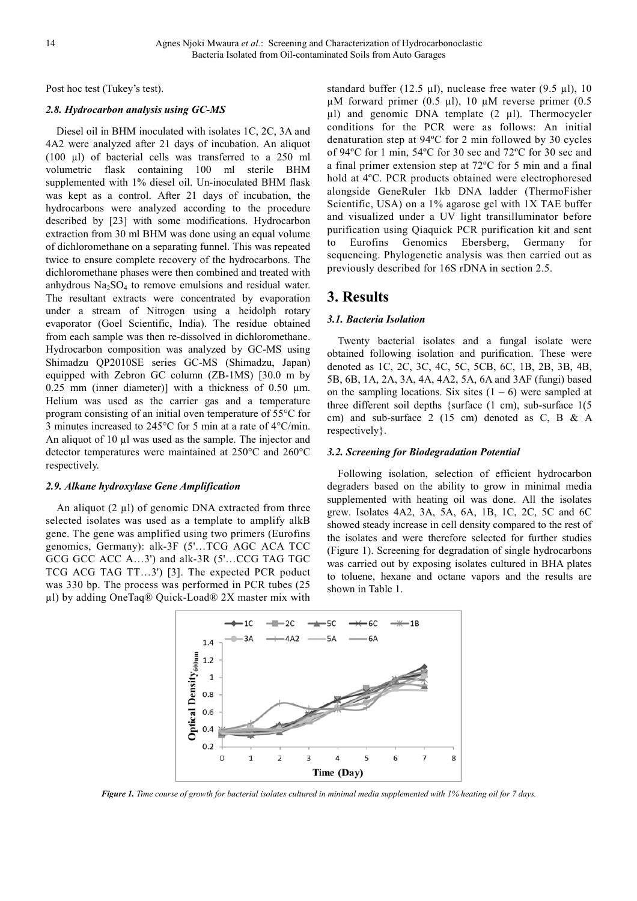Post hoc test (Tukey's test).

#### *2.8. Hydrocarbon analysis using GC-MS*

Diesel oil in BHM inoculated with isolates 1C, 2C, 3A and 4A2 were analyzed after 21 days of incubation. An aliquot (100 µl) of bacterial cells was transferred to a 250 ml volumetric flask containing 100 ml sterile BHM supplemented with 1% diesel oil. Un-inoculated BHM flask was kept as a control. After 21 days of incubation, the hydrocarbons were analyzed according to the procedure described by [23] with some modifications. Hydrocarbon extraction from 30 ml BHM was done using an equal volume of dichloromethane on a separating funnel. This was repeated twice to ensure complete recovery of the hydrocarbons. The dichloromethane phases were then combined and treated with anhydrous  $Na<sub>2</sub>SO<sub>4</sub>$  to remove emulsions and residual water. The resultant extracts were concentrated by evaporation under a stream of Nitrogen using a heidolph rotary evaporator (Goel Scientific, India). The residue obtained from each sample was then re-dissolved in dichloromethane. Hydrocarbon composition was analyzed by GC-MS using Shimadzu QP2010SE series GC-MS (Shimadzu, Japan) equipped with Zebron GC column (ZB-1MS) [30.0 m by 0.25 mm (inner diameter)] with a thickness of 0.50  $\mu$ m. Helium was used as the carrier gas and a temperature program consisting of an initial oven temperature of 55°C for 3 minutes increased to 245°C for 5 min at a rate of 4°C/min. An aliquot of 10 µl was used as the sample. The injector and detector temperatures were maintained at 250°C and 260°C respectively.

#### *2.9. Alkane hydroxylase Gene Amplification*

An aliquot  $(2 \mu l)$  of genomic DNA extracted from three selected isolates was used as a template to amplify alkB gene. The gene was amplified using two primers (Eurofins genomics, Germany): alk-3F (5'…TCG AGC ACA TCC GCG GCC ACC A…3') and alk-3R (5'…CCG TAG TGC TCG ACG TAG TT…3') [3]. The expected PCR poduct was 330 bp. The process was performed in PCR tubes (25 µl) by adding OneTaq® Quick-Load® 2X master mix with

standard buffer (12.5 µl), nuclease free water (9.5 µl), 10  $\mu$ M forward primer (0.5  $\mu$ l), 10  $\mu$ M reverse primer (0.5  $\mu$ l) and genomic DNA template (2  $\mu$ l). Thermocycler conditions for the PCR were as follows: An initial denaturation step at 94ºC for 2 min followed by 30 cycles of 94ºC for 1 min, 54ºC for 30 sec and 72ºC for 30 sec and a final primer extension step at 72ºC for 5 min and a final hold at 4ºC. PCR products obtained were electrophoresed alongside GeneRuler 1kb DNA ladder (ThermoFisher Scientific, USA) on a 1% agarose gel with 1X TAE buffer and visualized under a UV light transilluminator before purification using Qiaquick PCR purification kit and sent to Eurofins Genomics Ebersberg, Germany for sequencing. Phylogenetic analysis was then carried out as previously described for 16S rDNA in section 2.5.

# **3. Results**

#### *3.1. Bacteria Isolation*

Twenty bacterial isolates and a fungal isolate were obtained following isolation and purification. These were denoted as 1C, 2C, 3C, 4C, 5C, 5CB, 6C, 1B, 2B, 3B, 4B, 5B, 6B, 1A, 2A, 3A, 4A, 4A2, 5A, 6A and 3AF (fungi) based on the sampling locations. Six sites  $(1 - 6)$  were sampled at three different soil depths {surface (1 cm), sub-surface 1(5 cm) and sub-surface 2 (15 cm) denoted as C, B & A respectively}.

#### *3.2. Screening for Biodegradation Potential*

Following isolation, selection of efficient hydrocarbon degraders based on the ability to grow in minimal media supplemented with heating oil was done. All the isolates grew. Isolates 4A2, 3A, 5A, 6A, 1B, 1C, 2C, 5C and 6C showed steady increase in cell density compared to the rest of the isolates and were therefore selected for further studies (Figure 1). Screening for degradation of single hydrocarbons was carried out by exposing isolates cultured in BHA plates to toluene, hexane and octane vapors and the results are shown in Table 1.



*Figure 1. Time course of growth for bacterial isolates cultured in minimal media supplemented with 1% heating oil for 7 days.*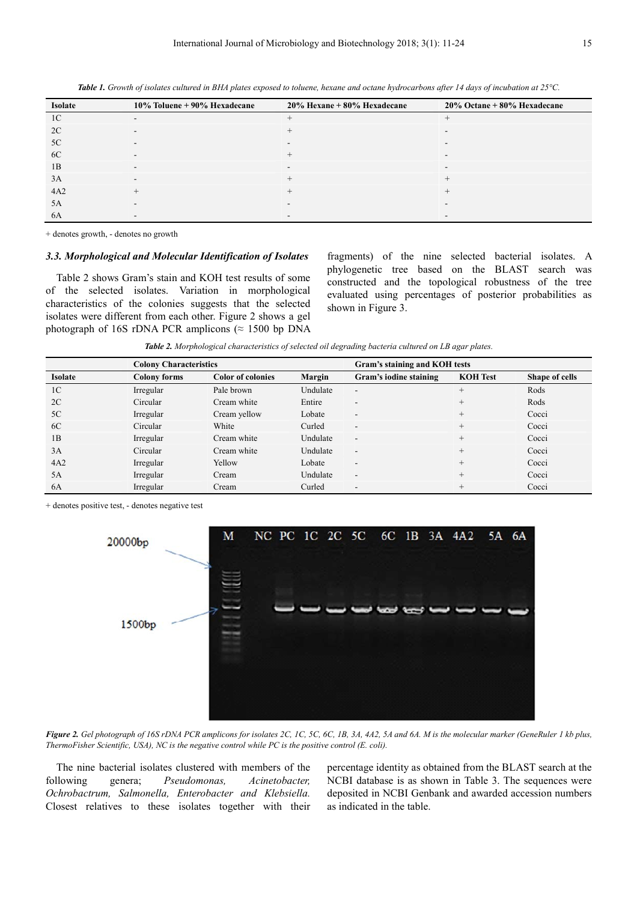| Isolate        | $10\%$ Toluene + 90% Hexadecane | $20\%$ Hexane + 80% Hexadecane | $20\%$ Octane + 80% Hexadecane |
|----------------|---------------------------------|--------------------------------|--------------------------------|
| 1 <sup>C</sup> |                                 |                                |                                |
| 2C             |                                 |                                | $\overline{\phantom{0}}$       |
| 5C             | -                               | -                              | $\overline{\phantom{0}}$       |
| 6C             |                                 |                                | -                              |
| 1B             |                                 | -                              | $\overline{\phantom{0}}$       |
| 3A             |                                 | $^+$                           |                                |
| 4A2            |                                 |                                |                                |
| 5A             | $\overline{\phantom{a}}$        | -                              |                                |
| 6A             |                                 |                                |                                |

*Table 1. Growth of isolates cultured in BHA plates exposed to toluene, hexane and octane hydrocarbons after 14 days of incubation at 25°C.* 

+ denotes growth, - denotes no growth

#### *3.3. Morphological and Molecular Identification of Isolates*

Table 2 shows Gram's stain and KOH test results of some of the selected isolates. Variation in morphological characteristics of the colonies suggests that the selected isolates were different from each other. Figure 2 shows a gel photograph of 16S rDNA PCR amplicons ( $\approx$  1500 bp DNA fragments) of the nine selected bacterial isolates. A phylogenetic tree based on the BLAST search was constructed and the topological robustness of the tree evaluated using percentages of posterior probabilities as shown in Figure 3.

*Table 2. Morphological characteristics of selected oil degrading bacteria cultured on LB agar plates.* 

|                | <b>Colony Characteristics</b> |                          |          | Gram's staining and KOH tests |                 |                |
|----------------|-------------------------------|--------------------------|----------|-------------------------------|-----------------|----------------|
| Isolate        | <b>Colony forms</b>           | <b>Color of colonies</b> | Margin   | Gram's iodine staining        | <b>KOH</b> Test | Shape of cells |
| 1 <sup>C</sup> | Irregular                     | Pale brown               | Undulate | $\overline{\phantom{a}}$      | $^{+}$          | Rods           |
| 2C             | Circular                      | Cream white              | Entire   | $\overline{\phantom{a}}$      | $^{+}$          | Rods           |
| 5C             | Irregular                     | Cream yellow             | Lobate   | $\overline{\phantom{a}}$      | $^{+}$          | Cocci          |
| 6C             | Circular                      | White                    | Curled   | $\overline{\phantom{a}}$      | $^{+}$          | Cocci          |
| 1B             | Irregular                     | Cream white              | Undulate | $\sim$                        | $^{+}$          | Cocci          |
| 3A             | Circular                      | Cream white              | Undulate | $\sim$                        | $^{+}$          | Cocci          |
| 4A2            | Irregular                     | Yellow                   | Lobate   | $\sim$                        | $^{+}$          | Cocci          |
| 5A             | Irregular                     | Cream                    | Undulate | $\overline{\phantom{a}}$      | $^{+}$          | Cocci          |
| 6A             | Irregular                     | Cream                    | Curled   | $\overline{\phantom{a}}$      | $^{+}$          | Cocci          |

+ denotes positive test, - denotes negative test



*Figure 2. Gel photograph of 16S rDNA PCR amplicons for isolates 2C, 1C, 5C, 6C, 1B, 3A, 4A2, 5A and 6A. M is the molecular marker (GeneRuler 1 kb plus, ThermoFisher Scientific, USA), NC is the negative control while PC is the positive control (E. coli).*

The nine bacterial isolates clustered with members of the following genera; *Pseudomonas, Acinetobacter, Ochrobactrum, Salmonella, Enterobacter and Klebsiella.*  Closest relatives to these isolates together with their

percentage identity as obtained from the BLAST search at the NCBI database is as shown in Table 3. The sequences were deposited in NCBI Genbank and awarded accession numbers as indicated in the table.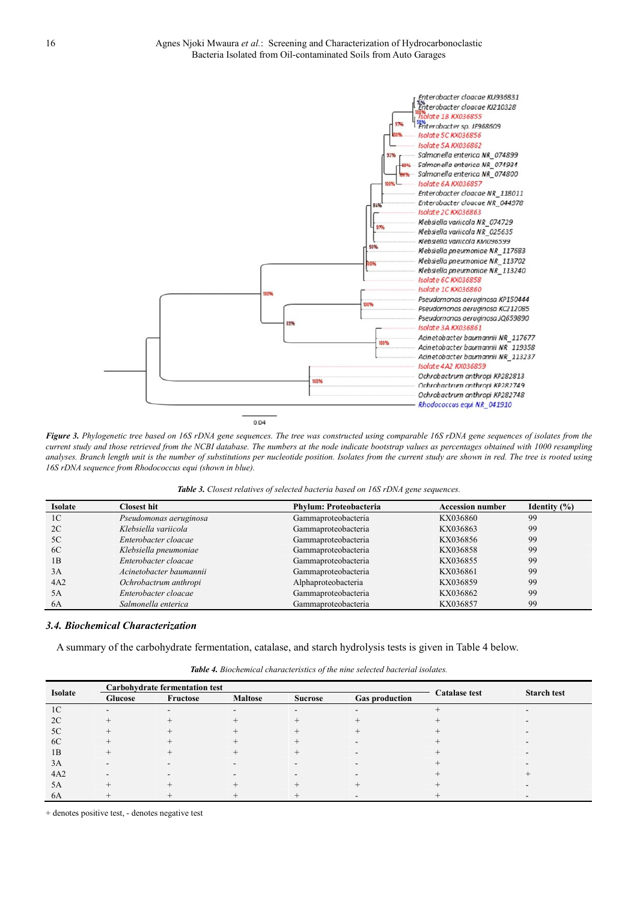

*Figure 3. Phylogenetic tree based on 16S rDNA gene sequences. The tree was constructed using comparable 16S rDNA gene sequences of isolates from the current study and those retrieved from the NCBI database. The numbers at the node indicate bootstrap values as percentages obtained with 1000 resampling analyses. Branch length unit is the number of substitutions per nucleotide position. Isolates from the current study are shown in red. The tree is rooted using 16S rDNA sequence from Rhodococcus equi (shown in blue).* 

| Isolate        | Closest hit             | Phylum: Proteobacteria | <b>Accession number</b> | Identity $(\% )$ |
|----------------|-------------------------|------------------------|-------------------------|------------------|
| 1 <sup>C</sup> | Pseudomonas aeruginosa  | Gammaproteobacteria    | KX036860                | 99               |
| 2C             | Klebsiella variicola    | Gammaproteobacteria    | KX036863                | 99               |
| 5C             | Enterobacter cloacae    | Gammaproteobacteria    | KX036856                | 99               |
| 6C             | Klebsiella pneumoniae   | Gammaproteobacteria    | KX036858                | 99               |
| 1 <sub>B</sub> | Enterobacter cloacae    | Gammaproteobacteria    | KX036855                | 99               |
| 3A             | Acinetobacter baumannii | Gammaproteobacteria    | KX036861                | 99               |
| 4A2            | Ochrobactrum anthropi   | Alphaproteobacteria    | KX036859                | 99               |
| 5A             | Enterobacter cloacae    | Gammaproteobacteria    | KX036862                | 99               |
| 6A             | Salmonella enterica     | Gammaproteobacteria    | KX036857                | 99               |

#### *3.4. Biochemical Characterization*

A summary of the carbohydrate fermentation, catalase, and starch hydrolysis tests is given in Table 4 below.

*Table 4. Biochemical characteristics of the nine selected bacterial isolates.* 

| <b>Isolate</b> | <b>Carbohydrate fermentation test</b> |          |                |                |                       |                      |                    |
|----------------|---------------------------------------|----------|----------------|----------------|-----------------------|----------------------|--------------------|
|                | Glucose                               | Fructose | <b>Maltose</b> | <b>Sucrose</b> | <b>Gas production</b> | <b>Catalase test</b> | <b>Starch test</b> |
| 1 <sup>C</sup> | -                                     | -        |                | -              |                       |                      |                    |
| 2C             |                                       |          |                |                |                       |                      |                    |
| 5C             |                                       |          |                |                |                       |                      |                    |
| 6C             |                                       |          |                |                |                       |                      |                    |
| 1B             |                                       |          |                |                |                       |                      |                    |
| 3A             |                                       |          |                |                |                       |                      |                    |
| 4A2            | -                                     |          |                |                |                       |                      |                    |
| 5Α             |                                       |          |                |                |                       |                      |                    |
| 6A             |                                       |          |                |                |                       |                      |                    |

+ denotes positive test, - denotes negative test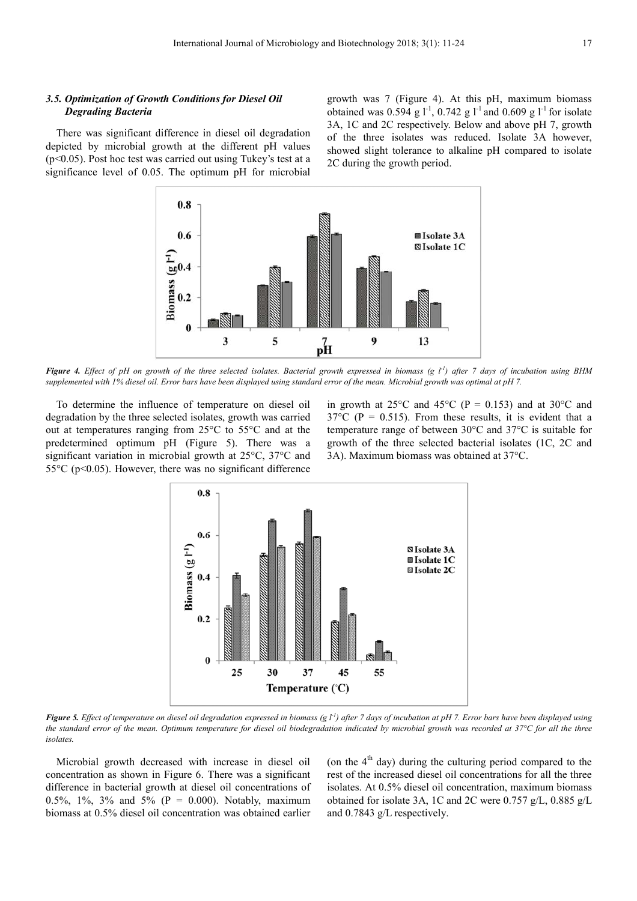#### *3.5. Optimization of Growth Conditions for Diesel Oil Degrading Bacteria*

There was significant difference in diesel oil degradation depicted by microbial growth at the different pH values (p<0.05). Post hoc test was carried out using Tukey's test at a significance level of 0.05. The optimum pH for microbial growth was 7 (Figure 4). At this pH, maximum biomass obtained was 0.594 g  $l^{-1}$ , 0.742 g  $l^{-1}$  and 0.609 g  $l^{-1}$  for isolate 3A, 1C and 2C respectively. Below and above pH 7, growth of the three isolates was reduced. Isolate 3A however, showed slight tolerance to alkaline pH compared to isolate 2C during the growth period.



**Figure 4.** Effect of pH on growth of the three selected isolates. Bacterial growth expressed in biomass (g  $l^{\dagger}$ ) after 7 days of incubation using BHM *supplemented with 1% diesel oil. Error bars have been displayed using standard error of the mean. Microbial growth was optimal at pH 7.*

To determine the influence of temperature on diesel oil degradation by the three selected isolates, growth was carried out at temperatures ranging from 25°C to 55°C and at the predetermined optimum pH (Figure 5). There was a significant variation in microbial growth at 25°C, 37°C and  $55^{\circ}$ C (p<0.05). However, there was no significant difference in growth at 25 $\degree$ C and 45 $\degree$ C (P = 0.153) and at 30 $\degree$ C and  $37^{\circ}$ C (P = 0.515). From these results, it is evident that a temperature range of between 30°C and 37°C is suitable for growth of the three selected bacterial isolates (1C, 2C and 3A). Maximum biomass was obtained at 37°C.



*Figure 5. Effect of temperature on diesel oil degradation expressed in biomass (g I<sup>-1</sup>) after 7 days of incubation at pH 7. Error bars have been displayed using the standard error of the mean. Optimum temperature for diesel oil biodegradation indicated by microbial growth was recorded at 37°C for all the three isolates.*

Microbial growth decreased with increase in diesel oil concentration as shown in Figure 6. There was a significant difference in bacterial growth at diesel oil concentrations of 0.5%, 1%, 3% and 5% ( $P = 0.000$ ). Notably, maximum biomass at 0.5% diesel oil concentration was obtained earlier

(on the  $4<sup>th</sup>$  day) during the culturing period compared to the rest of the increased diesel oil concentrations for all the three isolates. At 0.5% diesel oil concentration, maximum biomass obtained for isolate 3A, 1C and 2C were 0.757 g/L, 0.885 g/L and 0.7843 g/L respectively.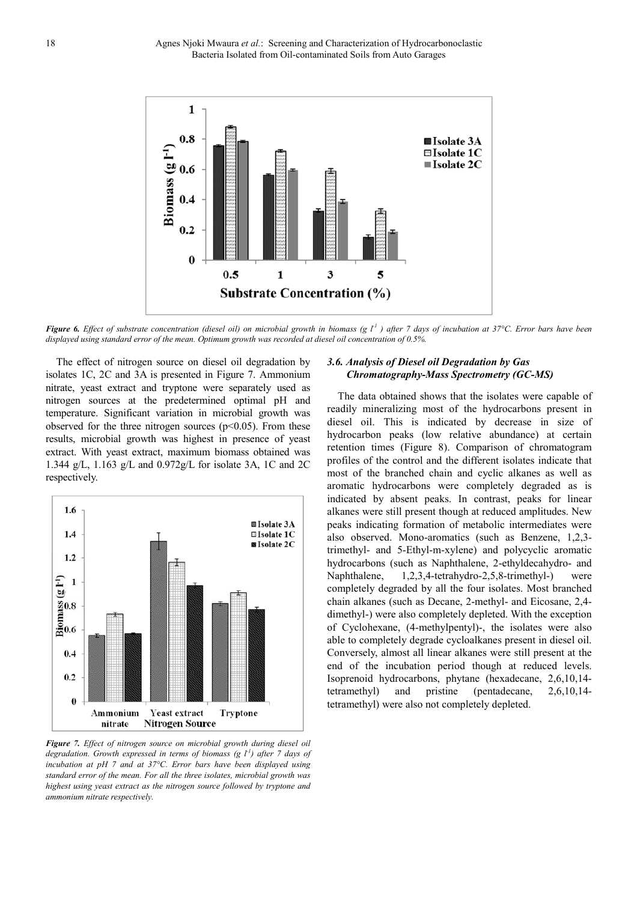

**Figure 6.** *Effect of substrate concentration (diesel oil) on microbial growth in biomass (g l<sup>1</sup>) after 7 days of incubation at 37°C. Error bars have been displayed using standard error of the mean. Optimum growth was recorded at diesel oil concentration of 0.5%.*

The effect of nitrogen source on diesel oil degradation by isolates 1C, 2C and 3A is presented in Figure 7. Ammonium nitrate, yeast extract and tryptone were separately used as nitrogen sources at the predetermined optimal pH and temperature. Significant variation in microbial growth was observed for the three nitrogen sources  $(p<0.05)$ . From these results, microbial growth was highest in presence of yeast extract. With yeast extract, maximum biomass obtained was 1.344 g/L, 1.163 g/L and 0.972g/L for isolate 3A, 1C and 2C respectively.



*Figure 7. Effect of nitrogen source on microbial growth during diesel oil degradation. Growth expressed in terms of biomass (g l-1) after 7 days of incubation at pH 7 and at 37°C. Error bars have been displayed using standard error of the mean. For all the three isolates, microbial growth was highest using yeast extract as the nitrogen source followed by tryptone and ammonium nitrate respectively.*

#### *3.6. Analysis of Diesel oil Degradation by Gas Chromatography-Mass Spectrometry (GC-MS)*

The data obtained shows that the isolates were capable of readily mineralizing most of the hydrocarbons present in diesel oil. This is indicated by decrease in size of hydrocarbon peaks (low relative abundance) at certain retention times (Figure 8). Comparison of chromatogram profiles of the control and the different isolates indicate that most of the branched chain and cyclic alkanes as well as aromatic hydrocarbons were completely degraded as is indicated by absent peaks. In contrast, peaks for linear alkanes were still present though at reduced amplitudes. New peaks indicating formation of metabolic intermediates were also observed. Mono-aromatics (such as Benzene, 1,2,3 trimethyl- and 5-Ethyl-m-xylene) and polycyclic aromatic hydrocarbons (such as Naphthalene, 2-ethyldecahydro- and Naphthalene, 1,2,3,4-tetrahydro-2,5,8-trimethyl-) were completely degraded by all the four isolates. Most branched chain alkanes (such as Decane, 2-methyl- and Eicosane, 2,4 dimethyl-) were also completely depleted. With the exception of Cyclohexane, (4-methylpentyl)-, the isolates were also able to completely degrade cycloalkanes present in diesel oil. Conversely, almost all linear alkanes were still present at the end of the incubation period though at reduced levels. Isoprenoid hydrocarbons, phytane (hexadecane, 2,6,10,14 tetramethyl) and pristine (pentadecane, 2,6,10,14 tetramethyl) were also not completely depleted.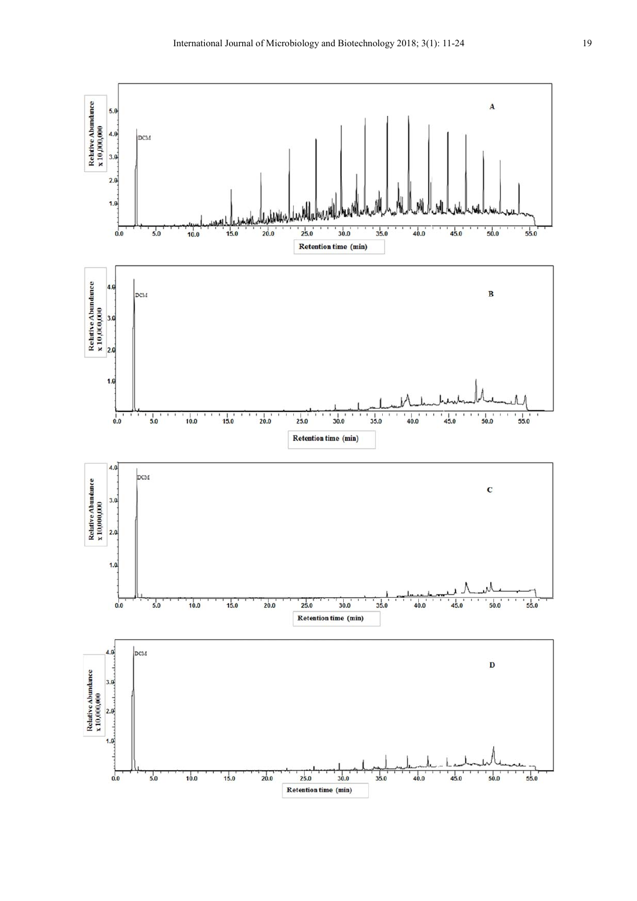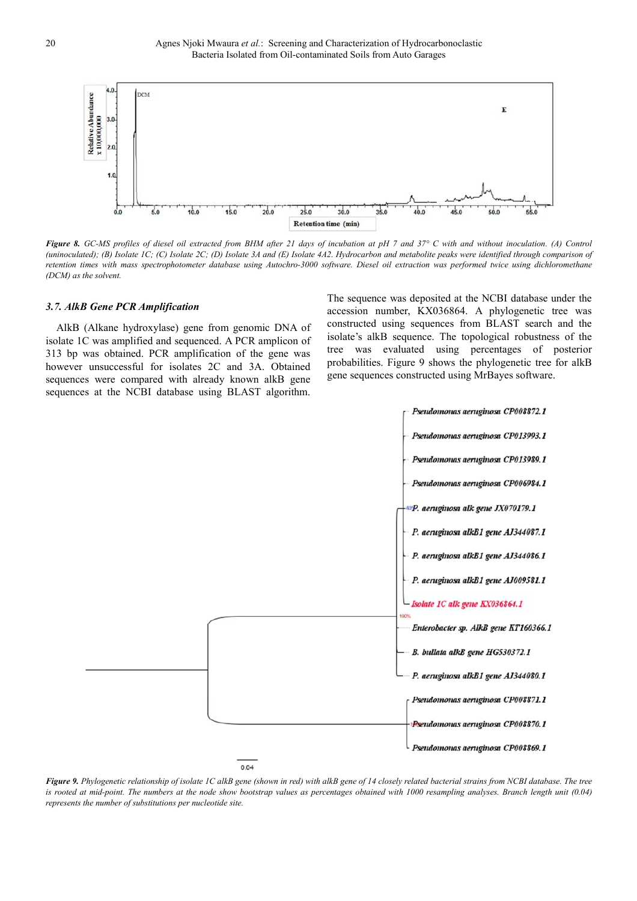

*Figure 8. GC-MS profiles of diesel oil extracted from BHM after 21 days of incubation at pH 7 and 37° C with and without inoculation. (A) Control (uninoculated); (B) Isolate 1C; (C) Isolate 2C; (D) Isolate 3A and (E) Isolate 4A2. Hydrocarbon and metabolite peaks were identified through comparison of*  retention times with mass spectrophotometer database using Autochro-3000 software. Diesel oil extraction was performed twice using dichloromethane *(DCM) as the solvent.* 

#### *3.7. AlkB Gene PCR Amplification*

AlkB (Alkane hydroxylase) gene from genomic DNA of isolate 1C was amplified and sequenced. A PCR amplicon of 313 bp was obtained. PCR amplification of the gene was however unsuccessful for isolates 2C and 3A. Obtained sequences were compared with already known alkB gene sequences at the NCBI database using BLAST algorithm.

The sequence was deposited at the NCBI database under the accession number, KX036864. A phylogenetic tree was constructed using sequences from BLAST search and the isolate's alkB sequence. The topological robustness of the tree was evaluated using percentages of posterior probabilities. Figure 9 shows the phylogenetic tree for alkB gene sequences constructed using MrBayes software.



*Figure 9. Phylogenetic relationship of isolate 1C alkB gene (shown in red) with alkB gene of 14 closely related bacterial strains from NCBI database. The tree*  is rooted at mid-point. The numbers at the node show bootstrap values as percentages obtained with 1000 resampling analyses. Branch length unit (0.04) *represents the number of substitutions per nucleotide site.*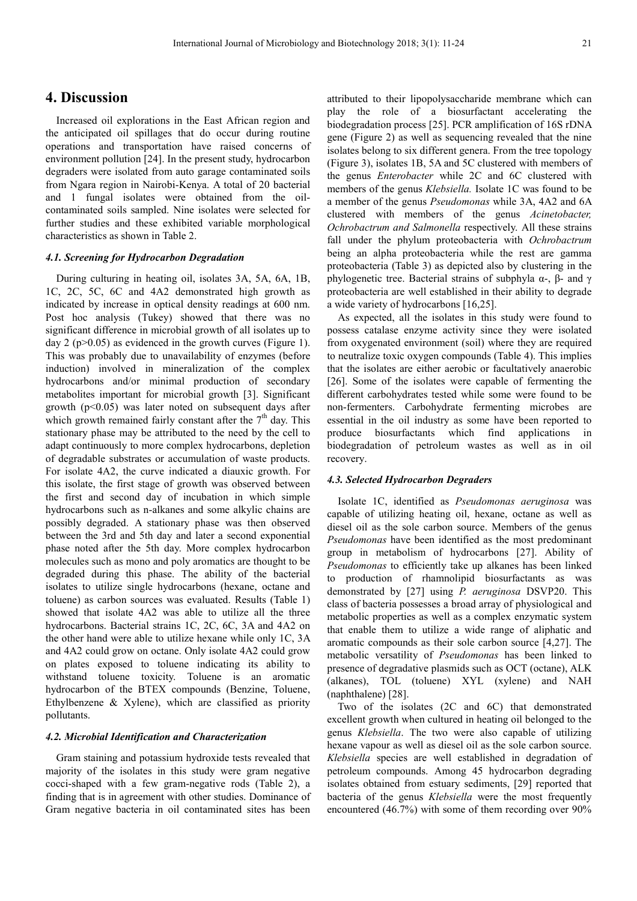# **4. Discussion**

Increased oil explorations in the East African region and the anticipated oil spillages that do occur during routine operations and transportation have raised concerns of environment pollution [24]. In the present study, hydrocarbon degraders were isolated from auto garage contaminated soils from Ngara region in Nairobi-Kenya. A total of 20 bacterial and 1 fungal isolates were obtained from the oilcontaminated soils sampled. Nine isolates were selected for further studies and these exhibited variable morphological characteristics as shown in Table 2.

#### *4.1. Screening for Hydrocarbon Degradation*

During culturing in heating oil, isolates 3A, 5A, 6A, 1B, 1C, 2C, 5C, 6C and 4A2 demonstrated high growth as indicated by increase in optical density readings at 600 nm. Post hoc analysis (Tukey) showed that there was no significant difference in microbial growth of all isolates up to day 2 ( $p > 0.05$ ) as evidenced in the growth curves (Figure 1). This was probably due to unavailability of enzymes (before induction) involved in mineralization of the complex hydrocarbons and/or minimal production of secondary metabolites important for microbial growth [3]. Significant growth (p<0.05) was later noted on subsequent days after which growth remained fairly constant after the  $7<sup>th</sup>$  day. This stationary phase may be attributed to the need by the cell to adapt continuously to more complex hydrocarbons, depletion of degradable substrates or accumulation of waste products. For isolate 4A2, the curve indicated a diauxic growth. For this isolate, the first stage of growth was observed between the first and second day of incubation in which simple hydrocarbons such as n-alkanes and some alkylic chains are possibly degraded. A stationary phase was then observed between the 3rd and 5th day and later a second exponential phase noted after the 5th day. More complex hydrocarbon molecules such as mono and poly aromatics are thought to be degraded during this phase. The ability of the bacterial isolates to utilize single hydrocarbons (hexane, octane and toluene) as carbon sources was evaluated. Results (Table 1) showed that isolate 4A2 was able to utilize all the three hydrocarbons. Bacterial strains 1C, 2C, 6C, 3A and 4A2 on the other hand were able to utilize hexane while only 1C, 3A and 4A2 could grow on octane. Only isolate 4A2 could grow on plates exposed to toluene indicating its ability to withstand toluene toxicity. Toluene is an aromatic hydrocarbon of the BTEX compounds (Benzine, Toluene, Ethylbenzene & Xylene), which are classified as priority pollutants.

#### *4.2. Microbial Identification and Characterization*

Gram staining and potassium hydroxide tests revealed that majority of the isolates in this study were gram negative cocci-shaped with a few gram-negative rods (Table 2), a finding that is in agreement with other studies. Dominance of Gram negative bacteria in oil contaminated sites has been

attributed to their lipopolysaccharide membrane which can play the role of a biosurfactant accelerating the biodegradation process [25]. PCR amplification of 16S rDNA gene (Figure 2) as well as sequencing revealed that the nine isolates belong to six different genera. From the tree topology (Figure 3), isolates 1B, 5A and 5C clustered with members of the genus *Enterobacter* while 2C and 6C clustered with members of the genus *Klebsiella.* Isolate 1C was found to be a member of the genus *Pseudomonas* while 3A, 4A2 and 6A clustered with members of the genus *Acinetobacter, Ochrobactrum and Salmonella* respectively. All these strains fall under the phylum proteobacteria with *Ochrobactrum*  being an alpha proteobacteria while the rest are gamma proteobacteria (Table 3) as depicted also by clustering in the phylogenetic tree. Bacterial strains of subphyla α-, β- and γ proteobacteria are well established in their ability to degrade a wide variety of hydrocarbons [16,25].

As expected, all the isolates in this study were found to possess catalase enzyme activity since they were isolated from oxygenated environment (soil) where they are required to neutralize toxic oxygen compounds (Table 4). This implies that the isolates are either aerobic or facultatively anaerobic [26]. Some of the isolates were capable of fermenting the different carbohydrates tested while some were found to be non-fermenters. Carbohydrate fermenting microbes are essential in the oil industry as some have been reported to produce biosurfactants which find applications in biodegradation of petroleum wastes as well as in oil recovery.

#### *4.3. Selected Hydrocarbon Degraders*

Isolate 1C, identified as *Pseudomonas aeruginosa* was capable of utilizing heating oil, hexane, octane as well as diesel oil as the sole carbon source. Members of the genus *Pseudomonas* have been identified as the most predominant group in metabolism of hydrocarbons [27]. Ability of *Pseudomonas* to efficiently take up alkanes has been linked to production of rhamnolipid biosurfactants as was demonstrated by [27] using *P. aeruginosa* DSVP20. This class of bacteria possesses a broad array of physiological and metabolic properties as well as a complex enzymatic system that enable them to utilize a wide range of aliphatic and aromatic compounds as their sole carbon source [4,27]. The metabolic versatility of *Pseudomonas* has been linked to presence of degradative plasmids such as OCT (octane), ALK (alkanes), TOL (toluene) XYL (xylene) and NAH (naphthalene) [28].

Two of the isolates (2C and 6C) that demonstrated excellent growth when cultured in heating oil belonged to the genus *Klebsiella*. The two were also capable of utilizing hexane vapour as well as diesel oil as the sole carbon source. *Klebsiella* species are well established in degradation of petroleum compounds. Among 45 hydrocarbon degrading isolates obtained from estuary sediments, [29] reported that bacteria of the genus *Klebsiella* were the most frequently encountered (46.7%) with some of them recording over 90%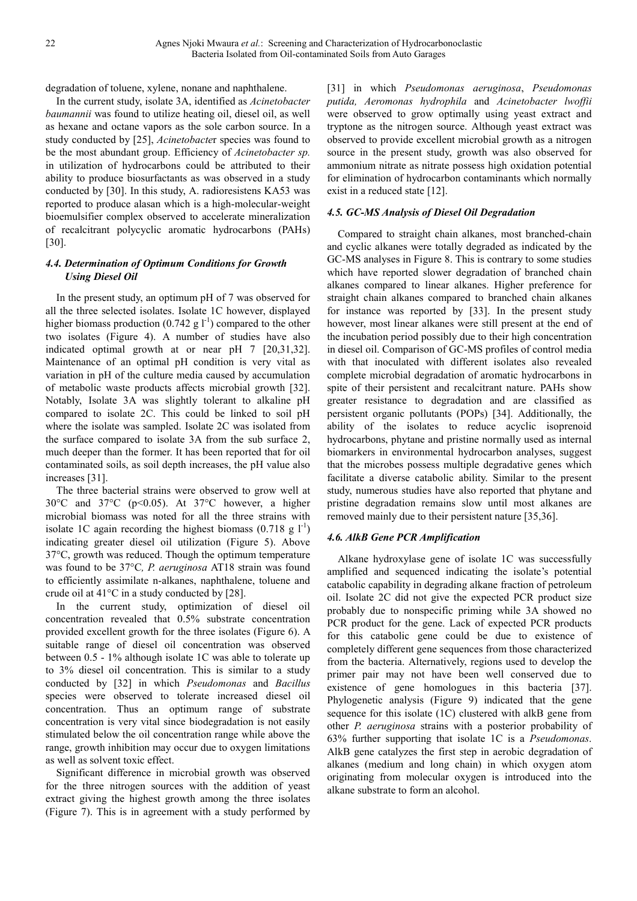degradation of toluene, xylene, nonane and naphthalene.

In the current study, isolate 3A, identified as *Acinetobacter baumannii* was found to utilize heating oil, diesel oil, as well as hexane and octane vapors as the sole carbon source. In a study conducted by [25], *Acinetobacte*r species was found to be the most abundant group. Efficiency of *Acinetobacter sp.* in utilization of hydrocarbons could be attributed to their ability to produce biosurfactants as was observed in a study conducted by [30]. In this study, A. radioresistens KA53 was reported to produce alasan which is a high-molecular-weight bioemulsifier complex observed to accelerate mineralization of recalcitrant polycyclic aromatic hydrocarbons (PAHs) [30].

#### *4.4. Determination of Optimum Conditions for Growth Using Diesel Oil*

In the present study, an optimum pH of 7 was observed for all the three selected isolates. Isolate 1C however, displayed higher biomass production (0.742 g  $l^{-1}$ ) compared to the other two isolates (Figure 4). A number of studies have also indicated optimal growth at or near pH 7 [20,31,32]. Maintenance of an optimal pH condition is very vital as variation in pH of the culture media caused by accumulation of metabolic waste products affects microbial growth [32]. Notably, Isolate 3A was slightly tolerant to alkaline pH compared to isolate 2C. This could be linked to soil pH where the isolate was sampled. Isolate 2C was isolated from the surface compared to isolate 3A from the sub surface 2, much deeper than the former. It has been reported that for oil contaminated soils, as soil depth increases, the pH value also increases [31].

The three bacterial strains were observed to grow well at  $30^{\circ}$ C and  $37^{\circ}$ C (p<0.05). At  $37^{\circ}$ C however, a higher microbial biomass was noted for all the three strains with isolate 1C again recording the highest biomass  $(0.718 \text{ g} \text{1}^{-1})$ indicating greater diesel oil utilization (Figure 5). Above 37°C, growth was reduced. Though the optimum temperature was found to be 37°C*, P. aeruginosa* AT18 strain was found to efficiently assimilate n-alkanes, naphthalene, toluene and crude oil at 41°C in a study conducted by [28].

In the current study, optimization of diesel oil concentration revealed that 0.5% substrate concentration provided excellent growth for the three isolates (Figure 6). A suitable range of diesel oil concentration was observed between 0.5 - 1% although isolate 1C was able to tolerate up to 3% diesel oil concentration. This is similar to a study conducted by [32] in which *Pseudomonas* and *Bacillus*  species were observed to tolerate increased diesel oil concentration. Thus an optimum range of substrate concentration is very vital since biodegradation is not easily stimulated below the oil concentration range while above the range, growth inhibition may occur due to oxygen limitations as well as solvent toxic effect.

Significant difference in microbial growth was observed for the three nitrogen sources with the addition of yeast extract giving the highest growth among the three isolates (Figure 7). This is in agreement with a study performed by [31] in which *Pseudomonas aeruginosa*, *Pseudomonas putida, Aeromonas hydrophila* and *Acinetobacter lwoffii* were observed to grow optimally using yeast extract and tryptone as the nitrogen source. Although yeast extract was observed to provide excellent microbial growth as a nitrogen source in the present study, growth was also observed for ammonium nitrate as nitrate possess high oxidation potential for elimination of hydrocarbon contaminants which normally exist in a reduced state [12].

#### *4.5. GC-MS Analysis of Diesel Oil Degradation*

Compared to straight chain alkanes, most branched-chain and cyclic alkanes were totally degraded as indicated by the GC-MS analyses in Figure 8. This is contrary to some studies which have reported slower degradation of branched chain alkanes compared to linear alkanes. Higher preference for straight chain alkanes compared to branched chain alkanes for instance was reported by [33]. In the present study however, most linear alkanes were still present at the end of the incubation period possibly due to their high concentration in diesel oil. Comparison of GC-MS profiles of control media with that inoculated with different isolates also revealed complete microbial degradation of aromatic hydrocarbons in spite of their persistent and recalcitrant nature. PAHs show greater resistance to degradation and are classified as persistent organic pollutants (POPs) [34]. Additionally, the ability of the isolates to reduce acyclic isoprenoid hydrocarbons, phytane and pristine normally used as internal biomarkers in environmental hydrocarbon analyses, suggest that the microbes possess multiple degradative genes which facilitate a diverse catabolic ability. Similar to the present study, numerous studies have also reported that phytane and pristine degradation remains slow until most alkanes are removed mainly due to their persistent nature [35,36].

#### *4.6. AlkB Gene PCR Amplification*

Alkane hydroxylase gene of isolate 1C was successfully amplified and sequenced indicating the isolate's potential catabolic capability in degrading alkane fraction of petroleum oil. Isolate 2C did not give the expected PCR product size probably due to nonspecific priming while 3A showed no PCR product for the gene. Lack of expected PCR products for this catabolic gene could be due to existence of completely different gene sequences from those characterized from the bacteria. Alternatively, regions used to develop the primer pair may not have been well conserved due to existence of gene homologues in this bacteria [37]. Phylogenetic analysis (Figure 9) indicated that the gene sequence for this isolate (1C) clustered with alkB gene from other *P. aeruginosa* strains with a posterior probability of 63% further supporting that isolate 1C is a *Pseudomonas*. AlkB gene catalyzes the first step in aerobic degradation of alkanes (medium and long chain) in which oxygen atom originating from molecular oxygen is introduced into the alkane substrate to form an alcohol.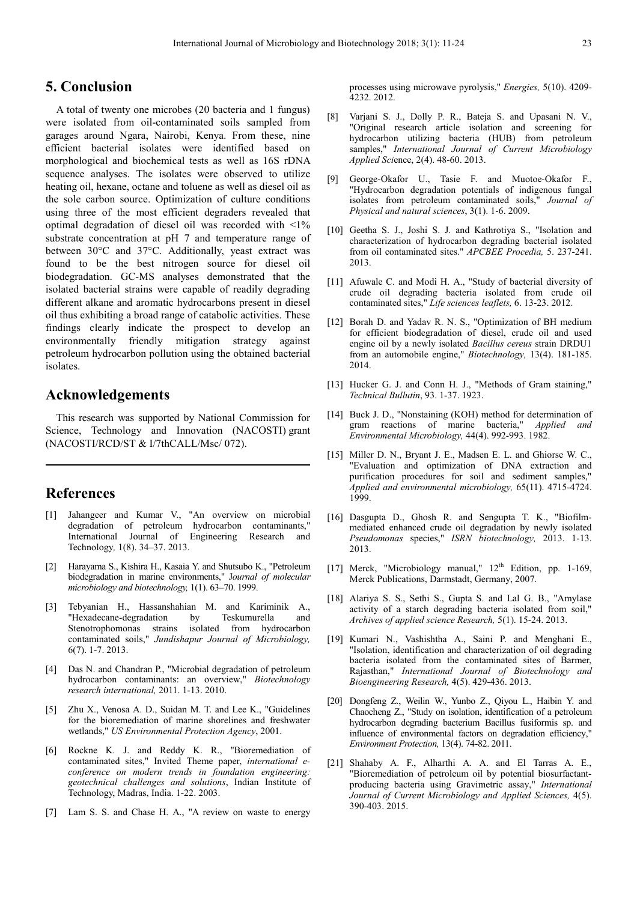# **5. Conclusion**

A total of twenty one microbes (20 bacteria and 1 fungus) were isolated from oil-contaminated soils sampled from garages around Ngara, Nairobi, Kenya. From these, nine efficient bacterial isolates were identified based on morphological and biochemical tests as well as 16S rDNA sequence analyses. The isolates were observed to utilize heating oil, hexane, octane and toluene as well as diesel oil as the sole carbon source. Optimization of culture conditions using three of the most efficient degraders revealed that optimal degradation of diesel oil was recorded with  $\leq 1\%$ substrate concentration at pH 7 and temperature range of between 30°C and 37°C. Additionally, yeast extract was found to be the best nitrogen source for diesel oil biodegradation. GC-MS analyses demonstrated that the isolated bacterial strains were capable of readily degrading different alkane and aromatic hydrocarbons present in diesel oil thus exhibiting a broad range of catabolic activities. These findings clearly indicate the prospect to develop an environmentally friendly mitigation strategy against petroleum hydrocarbon pollution using the obtained bacterial isolates.

# **Acknowledgements**

This research was supported by National Commission for Science, Technology and Innovation (NACOSTI) grant (NACOSTI/RCD/ST & I/7thCALL/Msc/ 072).

# **References**

- [1] Jahangeer and Kumar V., "An overview on microbial degradation of petroleum hydrocarbon contaminants," International Journal of Engineering Research and Technology*,* 1(8). 34–37. 2013.
- [2] Harayama S., Kishira H., Kasaia Y. and Shutsubo K., "Petroleum biodegradation in marine environments," J*ournal of molecular microbiology and biotechnology,* 1(1). 63–70. 1999.
- [3] Tebyanian H., Hassanshahian M. and Kariminik A., "Hexadecane-degradation by Teskumurella and Stenotrophomonas strains isolated from hydrocarbon contaminated soils," *Jundishapur Journal of Microbiology,* 6(7). 1-7. 2013.
- [4] Das N. and Chandran P., "Microbial degradation of petroleum hydrocarbon contaminants: an overview," *Biotechnology research international,* 2011. 1-13. 2010.
- [5] Zhu X., Venosa A. D., Suidan M. T. and Lee K., "Guidelines for the bioremediation of marine shorelines and freshwater wetlands," *US Environmental Protection Agency*, 2001.
- [6] Rockne K. J. and Reddy K. R., "Bioremediation of contaminated sites," Invited Theme paper, *international econference on modern trends in foundation engineering: geotechnical challenges and solutions*, Indian Institute of Technology, Madras, India. 1-22. 2003.
- [7] Lam S. S. and Chase H. A., "A review on waste to energy

processes using microwave pyrolysis," *Energies,* 5(10). 4209- 4232. 2012.

- [8] Varjani S. J., Dolly P. R., Bateja S. and Upasani N. V., "Original research article isolation and screening for hydrocarbon utilizing bacteria (HUB) from petroleum samples," *International Journal of Current Microbiology Applied Sci*ence, 2(4). 48-60. 2013.
- [9] George-Okafor U., Tasie F. and Muotoe-Okafor F., "Hydrocarbon degradation potentials of indigenous fungal isolates from petroleum contaminated soils," *Journal of Physical and natural sciences*, 3(1). 1-6. 2009.
- [10] Geetha S. J., Joshi S. J. and Kathrotiya S., "Isolation and characterization of hydrocarbon degrading bacterial isolated from oil contaminated sites." *APCBEE Procedia,* 5. 237-241. 2013.
- [11] Afuwale C. and Modi H. A., "Study of bacterial diversity of crude oil degrading bacteria isolated from crude oil contaminated sites," *Life sciences leaflets,* 6. 13-23. 2012.
- [12] Borah D. and Yadav R. N. S., "Optimization of BH medium for efficient biodegradation of diesel, crude oil and used engine oil by a newly isolated *Bacillus cereus* strain DRDU1 from an automobile engine," *Biotechnology,* 13(4). 181-185. 2014.
- [13] Hucker G. J. and Conn H. J., "Methods of Gram staining," *Technical Bullutin*, 93. 1-37. 1923.
- [14] Buck J. D., "Nonstaining (KOH) method for determination of gram reactions of marine bacteria," *Applied and Environmental Microbiology,* 44(4). 992-993. 1982.
- [15] Miller D. N., Bryant J. E., Madsen E. L. and Ghiorse W. C., "Evaluation and optimization of DNA extraction and purification procedures for soil and sediment samples," *Applied and environmental microbiology,* 65(11). 4715-4724. 1999.
- [16] Dasgupta D., Ghosh R. and Sengupta T. K., "Biofilmmediated enhanced crude oil degradation by newly isolated *Pseudomonas* species," *ISRN biotechnology,* 2013. 1-13. 2013.
- [17] Merck, "Microbiology manual,"  $12<sup>th</sup>$  Edition, pp. 1-169, Merck Publications, Darmstadt, Germany, 2007.
- [18] Alariya S. S., Sethi S., Gupta S. and Lal G. B., "Amylase activity of a starch degrading bacteria isolated from soil," *Archives of applied science Research,* 5(1). 15-24. 2013.
- [19] Kumari N., Vashishtha A., Saini P. and Menghani E., "Isolation, identification and characterization of oil degrading bacteria isolated from the contaminated sites of Barmer, Rajasthan," *International Journal of Biotechnology and Bioengineering Research,* 4(5). 429-436. 2013.
- [20] Dongfeng Z., Weilin W., Yunbo Z., Qiyou L., Haibin Y. and Chaocheng Z., "Study on isolation, identification of a petroleum hydrocarbon degrading bacterium Bacillus fusiformis sp. and influence of environmental factors on degradation efficiency," *Environment Protection,* 13(4). 74-82. 2011.
- [21] Shahaby A. F., Alharthi A. A. and El Tarras A. E., "Bioremediation of petroleum oil by potential biosurfactantproducing bacteria using Gravimetric assay," *International Journal of Current Microbiology and Applied Sciences,* 4(5). 390-403. 2015.